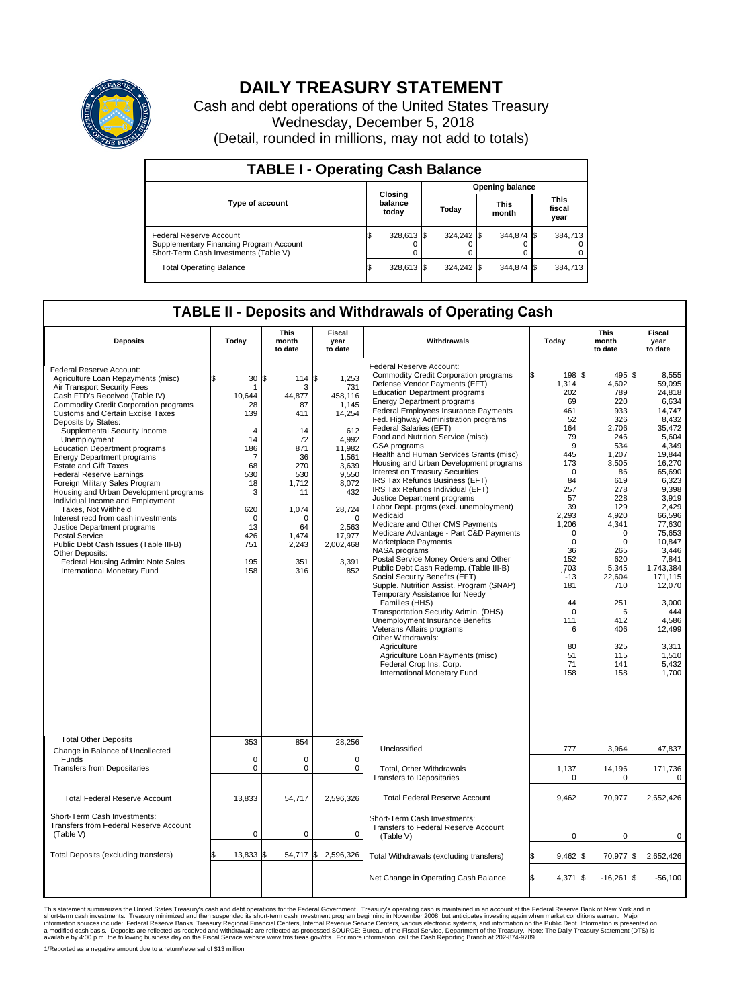

## **DAILY TREASURY STATEMENT**

Cash and debt operations of the United States Treasury Wednesday, December 5, 2018 (Detail, rounded in millions, may not add to totals)

| <b>TABLE I - Operating Cash Balance</b>                                                                            |                             |            |       |                        |                      |            |                               |         |  |  |  |
|--------------------------------------------------------------------------------------------------------------------|-----------------------------|------------|-------|------------------------|----------------------|------------|-------------------------------|---------|--|--|--|
|                                                                                                                    |                             |            |       | <b>Opening balance</b> |                      |            |                               |         |  |  |  |
| <b>Type of account</b>                                                                                             | Closing<br>balance<br>today |            | Today |                        | <b>This</b><br>month |            | <b>This</b><br>fiscal<br>year |         |  |  |  |
| <b>Federal Reserve Account</b><br>Supplementary Financing Program Account<br>Short-Term Cash Investments (Table V) |                             | 328,613 \$ |       | 324,242 \$             |                      | 344.874 \$ |                               | 384,713 |  |  |  |
| <b>Total Operating Balance</b>                                                                                     | I\$                         | 328,613 \$ |       | 324,242 \$             |                      | 344,874 \$ |                               | 384,713 |  |  |  |

## **TABLE II - Deposits and Withdrawals of Operating Cash**

| <b>Deposits</b>                                                                                                                                                                                                                                                                                                                                                                                                                                                                                                                                                                                                                                                                                                                                                                                                         | Today                                                                                                                                     | <b>This</b><br>month<br>to date                                                                                                                   | <b>Fiscal</b><br>year<br>to date                                                                                                                                                         | Withdrawals                                                                                                                                                                                                                                                                                                                                                                                                                                                                                                                                                                                                                                                                                                                                                                                                                                                                                                                                                                                                                                                                                                                                                                                                                                  | Today                                                                                                                                                                                                                                                        | <b>This</b><br>month<br>to date                                                                                                                                                                                                                         | <b>Fiscal</b><br>year<br>to date                                                                                                                                                                                                                                                                                              |
|-------------------------------------------------------------------------------------------------------------------------------------------------------------------------------------------------------------------------------------------------------------------------------------------------------------------------------------------------------------------------------------------------------------------------------------------------------------------------------------------------------------------------------------------------------------------------------------------------------------------------------------------------------------------------------------------------------------------------------------------------------------------------------------------------------------------------|-------------------------------------------------------------------------------------------------------------------------------------------|---------------------------------------------------------------------------------------------------------------------------------------------------|------------------------------------------------------------------------------------------------------------------------------------------------------------------------------------------|----------------------------------------------------------------------------------------------------------------------------------------------------------------------------------------------------------------------------------------------------------------------------------------------------------------------------------------------------------------------------------------------------------------------------------------------------------------------------------------------------------------------------------------------------------------------------------------------------------------------------------------------------------------------------------------------------------------------------------------------------------------------------------------------------------------------------------------------------------------------------------------------------------------------------------------------------------------------------------------------------------------------------------------------------------------------------------------------------------------------------------------------------------------------------------------------------------------------------------------------|--------------------------------------------------------------------------------------------------------------------------------------------------------------------------------------------------------------------------------------------------------------|---------------------------------------------------------------------------------------------------------------------------------------------------------------------------------------------------------------------------------------------------------|-------------------------------------------------------------------------------------------------------------------------------------------------------------------------------------------------------------------------------------------------------------------------------------------------------------------------------|
| Federal Reserve Account:<br>Agriculture Loan Repayments (misc)<br>Air Transport Security Fees<br>Cash FTD's Received (Table IV)<br><b>Commodity Credit Corporation programs</b><br><b>Customs and Certain Excise Taxes</b><br>Deposits by States:<br>Supplemental Security Income<br>Unemployment<br><b>Education Department programs</b><br><b>Energy Department programs</b><br><b>Estate and Gift Taxes</b><br><b>Federal Reserve Earnings</b><br>Foreign Military Sales Program<br>Housing and Urban Development programs<br>Individual Income and Employment<br>Taxes. Not Withheld<br>Interest recd from cash investments<br>Justice Department programs<br><b>Postal Service</b><br>Public Debt Cash Issues (Table III-B)<br>Other Deposits:<br>Federal Housing Admin: Note Sales<br>International Monetary Fund | \$<br>30<br>10.644<br>28<br>139<br>$\overline{4}$<br>14<br>186<br>7<br>68<br>530<br>18<br>3<br>620<br>0<br>13<br>426<br>751<br>195<br>158 | 114S<br>l\$<br>3<br>44.877<br>87<br>411<br>14<br>72<br>871<br>36<br>270<br>530<br>1,712<br>11<br>1,074<br>0<br>64<br>1,474<br>2,243<br>351<br>316 | 1,253<br>731<br>458.116<br>1,145<br>14,254<br>612<br>4.992<br>11,982<br>1,561<br>3,639<br>9,550<br>8,072<br>432<br>28,724<br>$\mathbf 0$<br>2,563<br>17,977<br>2,002,468<br>3,391<br>852 | Federal Reserve Account:<br><b>Commodity Credit Corporation programs</b><br>Defense Vendor Payments (EFT)<br><b>Education Department programs</b><br><b>Energy Department programs</b><br><b>Federal Employees Insurance Payments</b><br>Fed. Highway Administration programs<br>Federal Salaries (EFT)<br>Food and Nutrition Service (misc)<br><b>GSA</b> programs<br>Health and Human Services Grants (misc)<br>Housing and Urban Development programs<br>Interest on Treasury Securities<br>IRS Tax Refunds Business (EFT)<br>IRS Tax Refunds Individual (EFT)<br>Justice Department programs<br>Labor Dept. prgms (excl. unemployment)<br>Medicaid<br>Medicare and Other CMS Payments<br>Medicare Advantage - Part C&D Payments<br>Marketplace Payments<br>NASA programs<br>Postal Service Money Orders and Other<br>Public Debt Cash Redemp. (Table III-B)<br>Social Security Benefits (EFT)<br>Supple. Nutrition Assist. Program (SNAP)<br>Temporary Assistance for Needy<br>Families (HHS)<br>Transportation Security Admin. (DHS)<br>Unemployment Insurance Benefits<br>Veterans Affairs programs<br>Other Withdrawals:<br>Agriculture<br>Agriculture Loan Payments (misc)<br>Federal Crop Ins. Corp.<br>International Monetary Fund | 198 \$<br>ß.<br>1,314<br>202<br>69<br>461<br>52<br>164<br>79<br>9<br>445<br>173<br>0<br>84<br>257<br>57<br>39<br>2,293<br>1,206<br>$\mathbf 0$<br>$\mathbf 0$<br>36<br>152<br>703<br>$1/ - 13$<br>181<br>44<br>$\Omega$<br>111<br>6<br>80<br>51<br>71<br>158 | 495<br>4,602<br>789<br>220<br>933<br>326<br>2.706<br>246<br>534<br>1,207<br>3,505<br>86<br>619<br>278<br>228<br>129<br>4,920<br>4,341<br>$\mathbf 0$<br>0<br>265<br>620<br>5,345<br>22.604<br>710<br>251<br>6<br>412<br>406<br>325<br>115<br>141<br>158 | l\$<br>8.555<br>59,095<br>24,818<br>6,634<br>14,747<br>8,432<br>35.472<br>5,604<br>4.349<br>19,844<br>16,270<br>65,690<br>6,323<br>9,398<br>3,919<br>2,429<br>66.596<br>77,630<br>75,653<br>10.847<br>3,446<br>7,841<br>1,743,384<br>171.115<br>12,070<br>3.000<br>444<br>4.586<br>12,499<br>3,311<br>1,510<br>5,432<br>1,700 |
| <b>Total Other Deposits</b><br>Change in Balance of Uncollected                                                                                                                                                                                                                                                                                                                                                                                                                                                                                                                                                                                                                                                                                                                                                         | 353                                                                                                                                       | 854                                                                                                                                               | 28,256                                                                                                                                                                                   | Unclassified                                                                                                                                                                                                                                                                                                                                                                                                                                                                                                                                                                                                                                                                                                                                                                                                                                                                                                                                                                                                                                                                                                                                                                                                                                 | 777                                                                                                                                                                                                                                                          | 3,964                                                                                                                                                                                                                                                   | 47,837                                                                                                                                                                                                                                                                                                                        |
| Funds<br><b>Transfers from Depositaries</b>                                                                                                                                                                                                                                                                                                                                                                                                                                                                                                                                                                                                                                                                                                                                                                             | $\mathbf 0$<br>$\pmb{0}$                                                                                                                  | 0<br>0                                                                                                                                            | 0<br>$\mathbf 0$                                                                                                                                                                         | Total, Other Withdrawals<br><b>Transfers to Depositaries</b>                                                                                                                                                                                                                                                                                                                                                                                                                                                                                                                                                                                                                                                                                                                                                                                                                                                                                                                                                                                                                                                                                                                                                                                 | 1,137<br>0                                                                                                                                                                                                                                                   | 14,196<br>0                                                                                                                                                                                                                                             | 171,736<br>0                                                                                                                                                                                                                                                                                                                  |
| <b>Total Federal Reserve Account</b>                                                                                                                                                                                                                                                                                                                                                                                                                                                                                                                                                                                                                                                                                                                                                                                    | 13,833                                                                                                                                    | 54,717                                                                                                                                            | 2,596,326                                                                                                                                                                                | <b>Total Federal Reserve Account</b>                                                                                                                                                                                                                                                                                                                                                                                                                                                                                                                                                                                                                                                                                                                                                                                                                                                                                                                                                                                                                                                                                                                                                                                                         | 9,462                                                                                                                                                                                                                                                        | 70,977                                                                                                                                                                                                                                                  | 2,652,426                                                                                                                                                                                                                                                                                                                     |
| Short-Term Cash Investments:<br>Transfers from Federal Reserve Account<br>(Table V)                                                                                                                                                                                                                                                                                                                                                                                                                                                                                                                                                                                                                                                                                                                                     | 0                                                                                                                                         | 0                                                                                                                                                 | 0                                                                                                                                                                                        | Short-Term Cash Investments:<br>Transfers to Federal Reserve Account<br>(Table V)                                                                                                                                                                                                                                                                                                                                                                                                                                                                                                                                                                                                                                                                                                                                                                                                                                                                                                                                                                                                                                                                                                                                                            | $\mathbf 0$                                                                                                                                                                                                                                                  | $\mathbf 0$                                                                                                                                                                                                                                             | 0                                                                                                                                                                                                                                                                                                                             |
| Total Deposits (excluding transfers)                                                                                                                                                                                                                                                                                                                                                                                                                                                                                                                                                                                                                                                                                                                                                                                    | 13,833<br>\$                                                                                                                              | 54,717 \$<br>ß.                                                                                                                                   | 2,596,326                                                                                                                                                                                | Total Withdrawals (excluding transfers)                                                                                                                                                                                                                                                                                                                                                                                                                                                                                                                                                                                                                                                                                                                                                                                                                                                                                                                                                                                                                                                                                                                                                                                                      | $9,462$ \$                                                                                                                                                                                                                                                   | 70,977 \$                                                                                                                                                                                                                                               | 2,652,426                                                                                                                                                                                                                                                                                                                     |
|                                                                                                                                                                                                                                                                                                                                                                                                                                                                                                                                                                                                                                                                                                                                                                                                                         |                                                                                                                                           |                                                                                                                                                   |                                                                                                                                                                                          | Net Change in Operating Cash Balance                                                                                                                                                                                                                                                                                                                                                                                                                                                                                                                                                                                                                                                                                                                                                                                                                                                                                                                                                                                                                                                                                                                                                                                                         | Ŝ.<br>4,371 \$                                                                                                                                                                                                                                               | $-16,261$ \$                                                                                                                                                                                                                                            | $-56,100$                                                                                                                                                                                                                                                                                                                     |

This statement summarizes the United States Treasury's cash and debt operations for the Federal Government. Treasury soperating in November 2008, but anticiarde in a cocount at the Federal Reserve Bank of New York and in<br>s

1/Reported as a negative amount due to a return/reversal of \$13 million